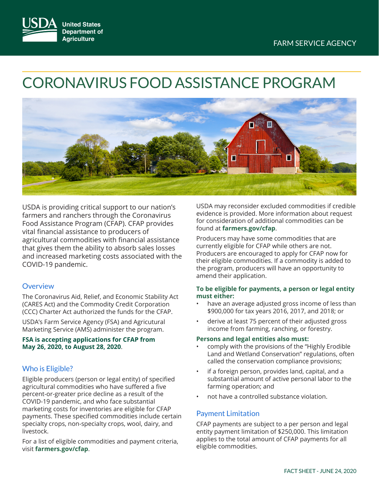

# CORONAVIRUS FOOD ASSISTANCE PROGRAM



USDA is providing critical support to our nation's farmers and ranchers through the Coronavirus Food Assistance Program (CFAP). CFAP provides vital financial assistance to producers of agricultural commodities with financial assistance that gives them the ability to absorb sales losses and increased marketing costs associated with the COVID-19 pandemic.

#### **Overview**

The Coronavirus Aid, Relief, and Economic Stability Act (CARES Act) and the Commodity Credit Corporation (CCC) Charter Act authorized the funds for the CFAP.

USDA's Farm Service Agency (FSA) and Agricutural Marketing Service (AMS) administer the program.

#### **FSA is accepting applications for CFAP from May 26, 2020, to August 28, 2020**.

## Who is Eligible?

Eligible producers (person or legal entity) of specified agricultural commodities who have suffered a five percent-or-greater price decline as a result of the COVID-19 pandemic, and who face substantial marketing costs for inventories are eligible for CFAP payments. These specified commodities include certain specialty crops, non-specialty crops, wool, dairy, and livestock.

For a list of eligible commodities and payment criteria, visit **[farmers.gov/cfap](http://farmers.gov/cfap)**.

USDA may reconsider excluded commodities if credible evidence is provided. More information about request for consideration of additional commodities can be found at **[farmers.gov/cfap](http://farmers.gov/cfap)**.

Producers may have some commodities that are currently eligible for CFAP while others are not. Producers are encouraged to apply for CFAP now for their eligible commodities. If a commodity is added to the program, producers will have an opportunity to amend their application.

#### **To be eligible for payments, a person or legal entity must either:**

- have an average adjusted gross income of less than \$900,000 for tax years 2016, 2017, and 2018; or
- derive at least 75 percent of their adjusted gross income from farming, ranching, or forestry.

#### **Persons and legal entities also must:**

- comply with the provisions of the "Highly Erodible Land and Wetland Conservation" regulations, often called the conservation compliance provisions;
- if a foreign person, provides land, capital, and a substantial amount of active personal labor to the farming operation; and
- not have a controlled substance violation.

## Payment Limitation

CFAP payments are subject to a per person and legal entity payment limitation of \$250,000. This limitation applies to the total amount of CFAP payments for all eligible commodities.